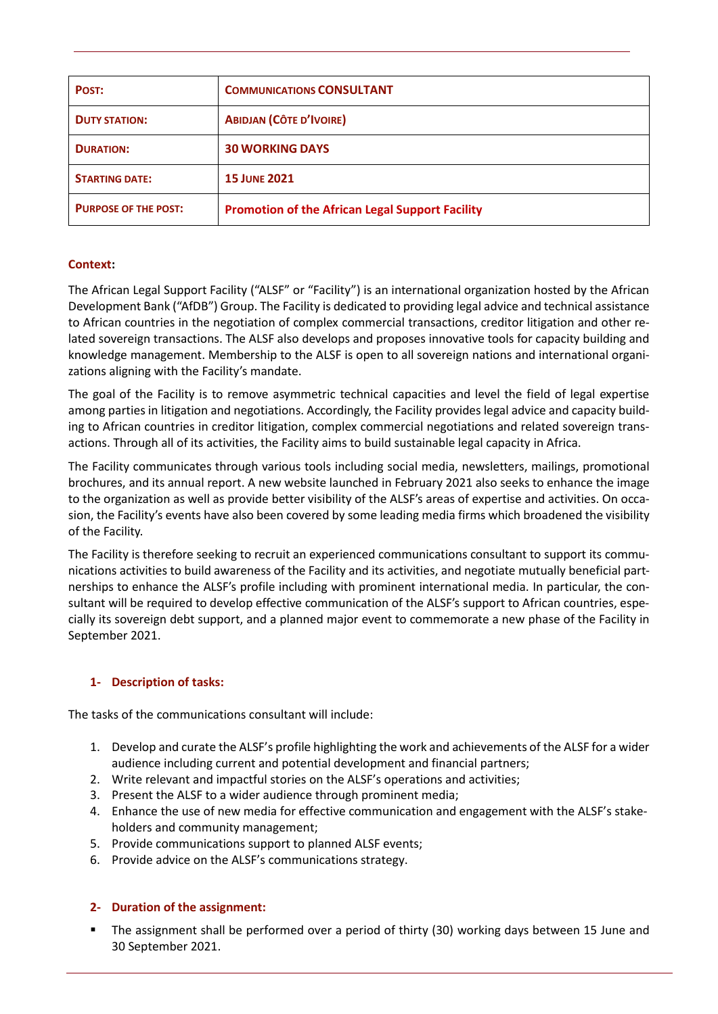| POST:                       | <b>COMMUNICATIONS CONSULTANT</b>                       |
|-----------------------------|--------------------------------------------------------|
| <b>DUTY STATION:</b>        | <b>ABIDJAN (CÔTE D'IVOIRE)</b>                         |
| <b>DURATION:</b>            | <b>30 WORKING DAYS</b>                                 |
| <b>STARTING DATE:</b>       | <b>15 JUNE 2021</b>                                    |
| <b>PURPOSE OF THE POST:</b> | <b>Promotion of the African Legal Support Facility</b> |

# **Context:**

The African Legal Support Facility ("ALSF" or "Facility") is an international organization hosted by the African Development Bank ("AfDB") Group. The Facility is dedicated to providing legal advice and technical assistance to African countries in the negotiation of complex commercial transactions, creditor litigation and other related sovereign transactions. The ALSF also develops and proposes innovative tools for capacity building and knowledge management. Membership to the ALSF is open to all sovereign nations and international organizations aligning with the Facility's mandate.

The goal of the Facility is to remove asymmetric technical capacities and level the field of legal expertise among parties in litigation and negotiations. Accordingly, the Facility provides legal advice and capacity building to African countries in creditor litigation, complex commercial negotiations and related sovereign transactions. Through all of its activities, the Facility aims to build sustainable legal capacity in Africa.

The Facility communicates through various tools including social media, newsletters, mailings, promotional brochures, and its annual report. A new website launched in February 2021 also seeks to enhance the image to the organization as well as provide better visibility of the ALSF's areas of expertise and activities. On occasion, the Facility's events have also been covered by some leading media firms which broadened the visibility of the Facility.

The Facility is therefore seeking to recruit an experienced communications consultant to support its communications activities to build awareness of the Facility and its activities, and negotiate mutually beneficial partnerships to enhance the ALSF's profile including with prominent international media. In particular, the consultant will be required to develop effective communication of the ALSF's support to African countries, especially its sovereign debt support, and a planned major event to commemorate a new phase of the Facility in September 2021.

# **1- Description of tasks:**

The tasks of the communications consultant will include:

- 1. Develop and curate the ALSF's profile highlighting the work and achievements of the ALSF for a wider audience including current and potential development and financial partners;
- 2. Write relevant and impactful stories on the ALSF's operations and activities;
- 3. Present the ALSF to a wider audience through prominent media;
- 4. Enhance the use of new media for effective communication and engagement with the ALSF's stakeholders and community management;
- 5. Provide communications support to planned ALSF events;
- 6. Provide advice on the ALSF's communications strategy.

# **2- Duration of the assignment:**

The assignment shall be performed over a period of thirty (30) working days between 15 June and 30 September 2021.